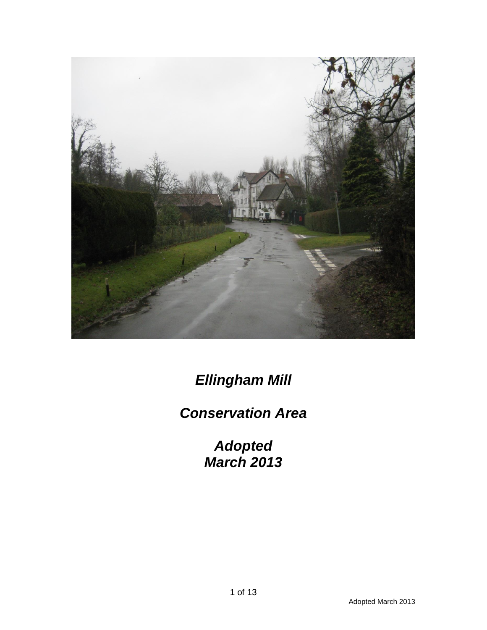

*Ellingham Mill* 

# *Conservation Area*

*Adopted March 2013*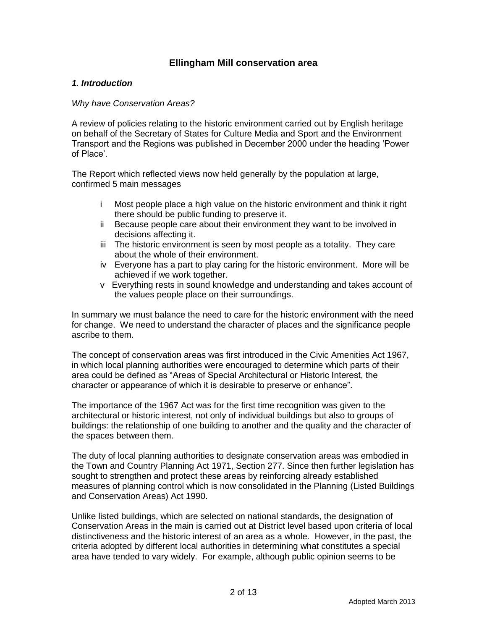# **Ellingham Mill conservation area**

## *1. Introduction*

#### *Why have Conservation Areas?*

A review of policies relating to the historic environment carried out by English heritage on behalf of the Secretary of States for Culture Media and Sport and the Environment Transport and the Regions was published in December 2000 under the heading 'Power of Place'.

The Report which reflected views now held generally by the population at large, confirmed 5 main messages

- i Most people place a high value on the historic environment and think it right there should be public funding to preserve it.
- ii Because people care about their environment they want to be involved in decisions affecting it.
- iii The historic environment is seen by most people as a totality. They care about the whole of their environment.
- iv Everyone has a part to play caring for the historic environment. More will be achieved if we work together.
- v Everything rests in sound knowledge and understanding and takes account of the values people place on their surroundings.

In summary we must balance the need to care for the historic environment with the need for change. We need to understand the character of places and the significance people ascribe to them.

The concept of conservation areas was first introduced in the Civic Amenities Act 1967, in which local planning authorities were encouraged to determine which parts of their area could be defined as "Areas of Special Architectural or Historic Interest, the character or appearance of which it is desirable to preserve or enhance".

The importance of the 1967 Act was for the first time recognition was given to the architectural or historic interest, not only of individual buildings but also to groups of buildings: the relationship of one building to another and the quality and the character of the spaces between them.

The duty of local planning authorities to designate conservation areas was embodied in the Town and Country Planning Act 1971, Section 277. Since then further legislation has sought to strengthen and protect these areas by reinforcing already established measures of planning control which is now consolidated in the Planning (Listed Buildings and Conservation Areas) Act 1990.

Unlike listed buildings, which are selected on national standards, the designation of Conservation Areas in the main is carried out at District level based upon criteria of local distinctiveness and the historic interest of an area as a whole. However, in the past, the criteria adopted by different local authorities in determining what constitutes a special area have tended to vary widely. For example, although public opinion seems to be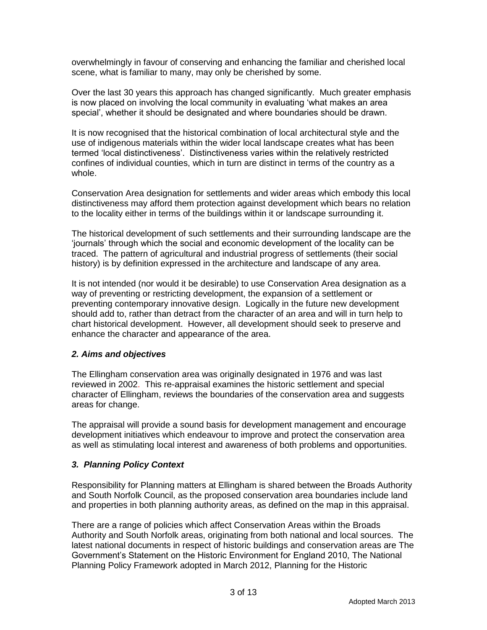overwhelmingly in favour of conserving and enhancing the familiar and cherished local scene, what is familiar to many, may only be cherished by some.

Over the last 30 years this approach has changed significantly. Much greater emphasis is now placed on involving the local community in evaluating 'what makes an area special', whether it should be designated and where boundaries should be drawn.

It is now recognised that the historical combination of local architectural style and the use of indigenous materials within the wider local landscape creates what has been termed 'local distinctiveness'. Distinctiveness varies within the relatively restricted confines of individual counties, which in turn are distinct in terms of the country as a whole.

Conservation Area designation for settlements and wider areas which embody this local distinctiveness may afford them protection against development which bears no relation to the locality either in terms of the buildings within it or landscape surrounding it.

The historical development of such settlements and their surrounding landscape are the 'journals' through which the social and economic development of the locality can be traced. The pattern of agricultural and industrial progress of settlements (their social history) is by definition expressed in the architecture and landscape of any area.

It is not intended (nor would it be desirable) to use Conservation Area designation as a way of preventing or restricting development, the expansion of a settlement or preventing contemporary innovative design. Logically in the future new development should add to, rather than detract from the character of an area and will in turn help to chart historical development. However, all development should seek to preserve and enhance the character and appearance of the area.

## *2. Aims and objectives*

The Ellingham conservation area was originally designated in 1976 and was last reviewed in 2002. This re-appraisal examines the historic settlement and special character of Ellingham, reviews the boundaries of the conservation area and suggests areas for change.

The appraisal will provide a sound basis for development management and encourage development initiatives which endeavour to improve and protect the conservation area as well as stimulating local interest and awareness of both problems and opportunities.

# *3. Planning Policy Context*

Responsibility for Planning matters at Ellingham is shared between the Broads Authority and South Norfolk Council, as the proposed conservation area boundaries include land and properties in both planning authority areas, as defined on the map in this appraisal.

There are a range of policies which affect Conservation Areas within the Broads Authority and South Norfolk areas, originating from both national and local sources. The latest national documents in respect of historic buildings and conservation areas are The Government's Statement on the Historic Environment for England 2010, The National Planning Policy Framework adopted in March 2012, Planning for the Historic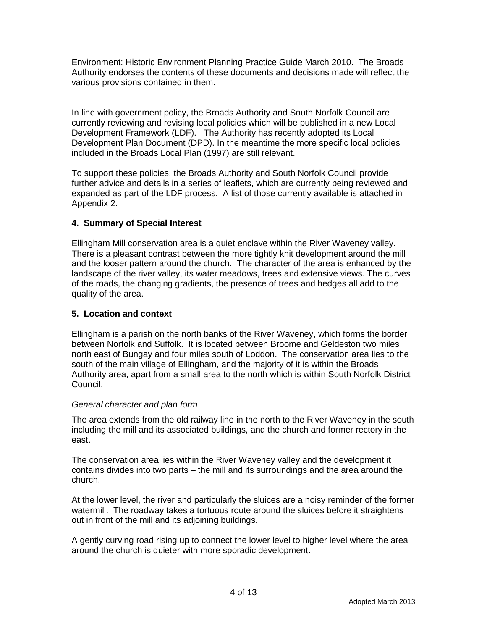Environment: Historic Environment Planning Practice Guide March 2010. The Broads Authority endorses the contents of these documents and decisions made will reflect the various provisions contained in them.

In line with government policy, the Broads Authority and South Norfolk Council are currently reviewing and revising local policies which will be published in a new Local Development Framework (LDF). The Authority has recently adopted its Local Development Plan Document (DPD). In the meantime the more specific local policies included in the Broads Local Plan (1997) are still relevant.

To support these policies, the Broads Authority and South Norfolk Council provide further advice and details in a series of leaflets, which are currently being reviewed and expanded as part of the LDF process. A list of those currently available is attached in Appendix 2.

# **4. Summary of Special Interest**

Ellingham Mill conservation area is a quiet enclave within the River Waveney valley. There is a pleasant contrast between the more tightly knit development around the mill and the looser pattern around the church. The character of the area is enhanced by the landscape of the river valley, its water meadows, trees and extensive views. The curves of the roads, the changing gradients, the presence of trees and hedges all add to the quality of the area.

## **5. Location and context**

Ellingham is a parish on the north banks of the River Waveney, which forms the border between Norfolk and Suffolk. It is located between Broome and Geldeston two miles north east of Bungay and four miles south of Loddon. The conservation area lies to the south of the main village of Ellingham, and the majority of it is within the Broads Authority area, apart from a small area to the north which is within South Norfolk District Council.

## *General character and plan form*

The area extends from the old railway line in the north to the River Waveney in the south including the mill and its associated buildings, and the church and former rectory in the east.

The conservation area lies within the River Waveney valley and the development it contains divides into two parts – the mill and its surroundings and the area around the church.

At the lower level, the river and particularly the sluices are a noisy reminder of the former watermill. The roadway takes a tortuous route around the sluices before it straightens out in front of the mill and its adjoining buildings.

A gently curving road rising up to connect the lower level to higher level where the area around the church is quieter with more sporadic development.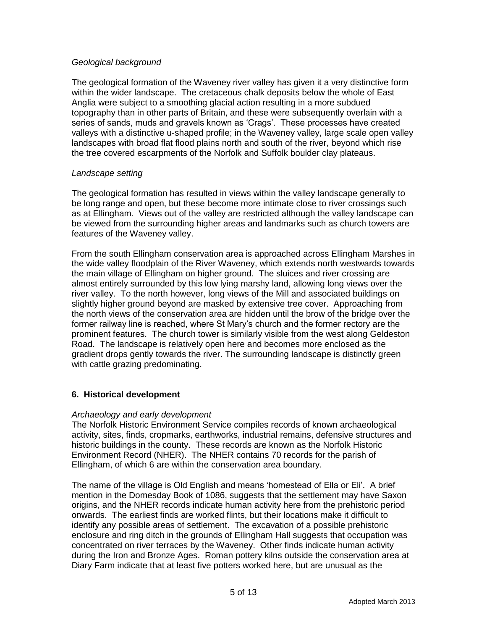## *Geological background*

The geological formation of the Waveney river valley has given it a very distinctive form within the wider landscape. The cretaceous chalk deposits below the whole of East Anglia were subject to a smoothing glacial action resulting in a more subdued topography than in other parts of Britain, and these were subsequently overlain with a series of sands, muds and gravels known as 'Crags'. These processes have created valleys with a distinctive u-shaped profile; in the Waveney valley, large scale open valley landscapes with broad flat flood plains north and south of the river, beyond which rise the tree covered escarpments of the Norfolk and Suffolk boulder clay plateaus.

## *Landscape setting*

The geological formation has resulted in views within the valley landscape generally to be long range and open, but these become more intimate close to river crossings such as at Ellingham. Views out of the valley are restricted although the valley landscape can be viewed from the surrounding higher areas and landmarks such as church towers are features of the Waveney valley.

From the south Ellingham conservation area is approached across Ellingham Marshes in the wide valley floodplain of the River Waveney, which extends north westwards towards the main village of Ellingham on higher ground. The sluices and river crossing are almost entirely surrounded by this low lying marshy land, allowing long views over the river valley. To the north however, long views of the Mill and associated buildings on slightly higher ground beyond are masked by extensive tree cover. Approaching from the north views of the conservation area are hidden until the brow of the bridge over the former railway line is reached, where St Mary's church and the former rectory are the prominent features. The church tower is similarly visible from the west along Geldeston Road. The landscape is relatively open here and becomes more enclosed as the gradient drops gently towards the river. The surrounding landscape is distinctly green with cattle grazing predominating.

## **6. Historical development**

## *Archaeology and early development*

The Norfolk Historic Environment Service compiles records of known archaeological activity, sites, finds, cropmarks, earthworks, industrial remains, defensive structures and historic buildings in the county. These records are known as the Norfolk Historic Environment Record (NHER). The NHER contains 70 records for the parish of Ellingham, of which 6 are within the conservation area boundary.

The name of the village is Old English and means 'homestead of Ella or Eli'. A brief mention in the Domesday Book of 1086, suggests that the settlement may have Saxon origins, and the NHER records indicate human activity here from the prehistoric period onwards. The earliest finds are worked flints, but their locations make it difficult to identify any possible areas of settlement. The excavation of a possible prehistoric enclosure and ring ditch in the grounds of Ellingham Hall suggests that occupation was concentrated on river terraces by the Waveney. Other finds indicate human activity during the Iron and Bronze Ages. Roman pottery kilns outside the conservation area at Diary Farm indicate that at least five potters worked here, but are unusual as the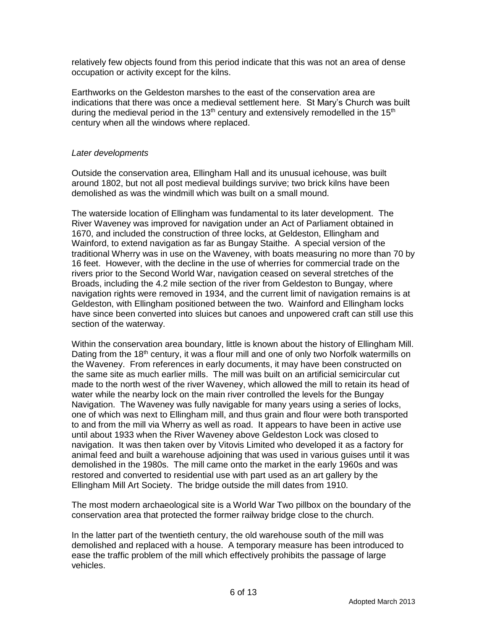relatively few objects found from this period indicate that this was not an area of dense occupation or activity except for the kilns.

Earthworks on the Geldeston marshes to the east of the conservation area are indications that there was once a medieval settlement here. St Mary's Church was built during the medieval period in the 13<sup>th</sup> century and extensively remodelled in the 15<sup>th</sup> century when all the windows where replaced.

## *Later developments*

Outside the conservation area, Ellingham Hall and its unusual icehouse, was built around 1802, but not all post medieval buildings survive; two brick kilns have been demolished as was the windmill which was built on a small mound.

The waterside location of Ellingham was fundamental to its later development. The River Waveney was improved for navigation under an Act of Parliament obtained in 1670, and included the construction of three locks, at Geldeston, Ellingham and Wainford, to extend navigation as far as Bungay Staithe. A special version of the traditional Wherry was in use on the Waveney, with boats measuring no more than 70 by 16 feet. However, with the decline in the use of wherries for commercial trade on the rivers prior to the Second World War, navigation ceased on several stretches of the Broads, including the 4.2 mile section of the river from Geldeston to Bungay, where navigation rights were removed in 1934, and the current limit of navigation remains is at Geldeston, with Ellingham positioned between the two. Wainford and Ellingham locks have since been converted into sluices but canoes and unpowered craft can still use this section of the waterway.

Within the conservation area boundary, little is known about the history of Ellingham Mill. Dating from the 18<sup>th</sup> century, it was a flour mill and one of only two Norfolk watermills on the Waveney. From references in early documents, it may have been constructed on the same site as much earlier mills. The mill was built on an artificial semicircular cut made to the north west of the river Waveney, which allowed the mill to retain its head of water while the nearby lock on the main river controlled the levels for the Bungay Navigation. The Waveney was fully navigable for many years using a series of locks, one of which was next to Ellingham mill, and thus grain and flour were both transported to and from the mill via Wherry as well as road. It appears to have been in active use until about 1933 when the River Waveney above Geldeston Lock was closed to navigation. It was then taken over by Vitovis Limited who developed it as a factory for animal feed and built a warehouse adjoining that was used in various guises until it was demolished in the 1980s. The mill came onto the market in the early 1960s and was restored and converted to residential use with part used as an art gallery by the Ellingham Mill Art Society. The bridge outside the mill dates from 1910.

The most modern archaeological site is a World War Two pillbox on the boundary of the conservation area that protected the former railway bridge close to the church.

In the latter part of the twentieth century, the old warehouse south of the mill was demolished and replaced with a house. A temporary measure has been introduced to ease the traffic problem of the mill which effectively prohibits the passage of large vehicles.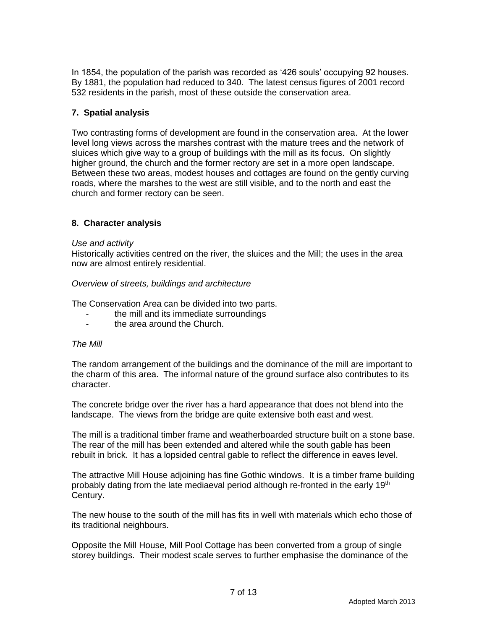In 1854, the population of the parish was recorded as '426 souls' occupying 92 houses. By 1881, the population had reduced to 340. The latest census figures of 2001 record 532 residents in the parish, most of these outside the conservation area.

# **7. Spatial analysis**

Two contrasting forms of development are found in the conservation area. At the lower level long views across the marshes contrast with the mature trees and the network of sluices which give way to a group of buildings with the mill as its focus. On slightly higher ground, the church and the former rectory are set in a more open landscape. Between these two areas, modest houses and cottages are found on the gently curving roads, where the marshes to the west are still visible, and to the north and east the church and former rectory can be seen.

# **8. Character analysis**

#### *Use and activity*

Historically activities centred on the river, the sluices and the Mill; the uses in the area now are almost entirely residential.

#### *Overview of streets, buildings and architecture*

The Conservation Area can be divided into two parts.

- the mill and its immediate surroundings
- the area around the Church.

#### *The Mill*

The random arrangement of the buildings and the dominance of the mill are important to the charm of this area. The informal nature of the ground surface also contributes to its character.

The concrete bridge over the river has a hard appearance that does not blend into the landscape. The views from the bridge are quite extensive both east and west.

The mill is a traditional timber frame and weatherboarded structure built on a stone base. The rear of the mill has been extended and altered while the south gable has been rebuilt in brick. It has a lopsided central gable to reflect the difference in eaves level.

The attractive Mill House adjoining has fine Gothic windows. It is a timber frame building probably dating from the late mediaeval period although re-fronted in the early  $19<sup>th</sup>$ Century.

The new house to the south of the mill has fits in well with materials which echo those of its traditional neighbours.

Opposite the Mill House, Mill Pool Cottage has been converted from a group of single storey buildings. Their modest scale serves to further emphasise the dominance of the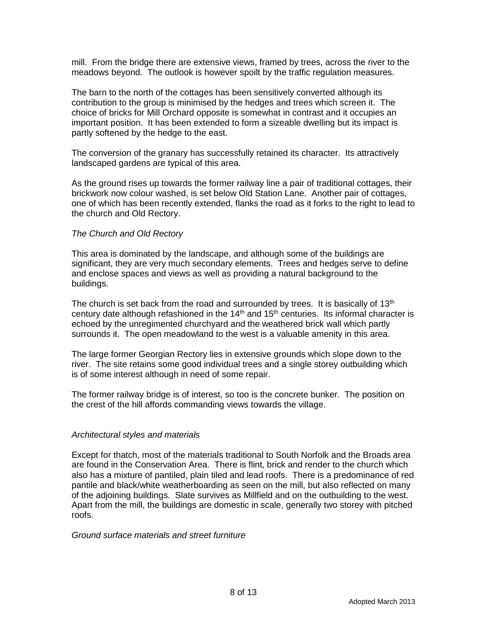mill. From the bridge there are extensive views, framed by trees, across the river to the meadows beyond. The outlook is however spoilt by the traffic regulation measures.

The barn to the north of the cottages has been sensitively converted although its contribution to the group is minimised by the hedges and trees which screen it. The choice of bricks for Mill Orchard opposite is somewhat in contrast and it occupies an important position. It has been extended to form a sizeable dwelling but its impact is partly softened by the hedge to the east.

The conversion of the granary has successfully retained its character. Its attractively landscaped gardens are typical of this area.

As the ground rises up towards the former railway line a pair of traditional cottages, their brickwork now colour washed, is set below Old Station Lane. Another pair of cottages, one of which has been recently extended, flanks the road as it forks to the right to lead to the church and Old Rectory.

#### *The Church and Old Rectory*

This area is dominated by the landscape, and although some of the buildings are significant, they are very much secondary elements. Trees and hedges serve to define and enclose spaces and views as well as providing a natural background to the buildings.

The church is set back from the road and surrounded by trees. It is basically of  $13<sup>th</sup>$ century date although refashioned in the  $14<sup>th</sup>$  and  $15<sup>th</sup>$  centuries. Its informal character is echoed by the unregimented churchyard and the weathered brick wall which partly surrounds it. The open meadowland to the west is a valuable amenity in this area.

The large former Georgian Rectory lies in extensive grounds which slope down to the river. The site retains some good individual trees and a single storey outbuilding which is of some interest although in need of some repair.

The former railway bridge is of interest, so too is the concrete bunker. The position on the crest of the hill affords commanding views towards the village.

## *Architectural styles and materials*

Except for thatch, most of the materials traditional to South Norfolk and the Broads area are found in the Conservation Area. There is flint, brick and render to the church which also has a mixture of pantiled, plain tiled and lead roofs. There is a predominance of red pantile and black/white weatherboarding as seen on the mill, but also reflected on many of the adjoining buildings. Slate survives as Millfield and on the outbuilding to the west. Apart from the mill, the buildings are domestic in scale, generally two storey with pitched roofs.

#### *Ground surface materials and street furniture*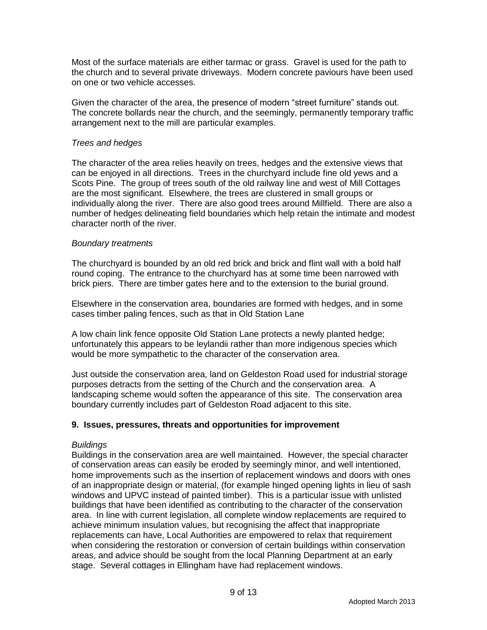Most of the surface materials are either tarmac or grass. Gravel is used for the path to the church and to several private driveways. Modern concrete paviours have been used on one or two vehicle accesses.

Given the character of the area, the presence of modern "street furniture" stands out. The concrete bollards near the church, and the seemingly, permanently temporary traffic arrangement next to the mill are particular examples.

## *Trees and hedges*

The character of the area relies heavily on trees, hedges and the extensive views that can be enjoyed in all directions. Trees in the churchyard include fine old yews and a Scots Pine. The group of trees south of the old railway line and west of Mill Cottages are the most significant. Elsewhere, the trees are clustered in small groups or individually along the river. There are also good trees around Millfield. There are also a number of hedges delineating field boundaries which help retain the intimate and modest character north of the river.

## *Boundary treatments*

The churchyard is bounded by an old red brick and brick and flint wall with a bold half round coping. The entrance to the churchyard has at some time been narrowed with brick piers. There are timber gates here and to the extension to the burial ground.

Elsewhere in the conservation area, boundaries are formed with hedges, and in some cases timber paling fences, such as that in Old Station Lane

A low chain link fence opposite Old Station Lane protects a newly planted hedge; unfortunately this appears to be leylandii rather than more indigenous species which would be more sympathetic to the character of the conservation area.

Just outside the conservation area, land on Geldeston Road used for industrial storage purposes detracts from the setting of the Church and the conservation area. A landscaping scheme would soften the appearance of this site. The conservation area boundary currently includes part of Geldeston Road adjacent to this site.

# **9. Issues, pressures, threats and opportunities for improvement**

## *Buildings*

Buildings in the conservation area are well maintained. However, the special character of conservation areas can easily be eroded by seemingly minor, and well intentioned, home improvements such as the insertion of replacement windows and doors with ones of an inappropriate design or material, (for example hinged opening lights in lieu of sash windows and UPVC instead of painted timber). This is a particular issue with unlisted buildings that have been identified as contributing to the character of the conservation area. In line with current legislation, all complete window replacements are required to achieve minimum insulation values, but recognising the affect that inappropriate replacements can have, Local Authorities are empowered to relax that requirement when considering the restoration or conversion of certain buildings within conservation areas, and advice should be sought from the local Planning Department at an early stage. Several cottages in Ellingham have had replacement windows.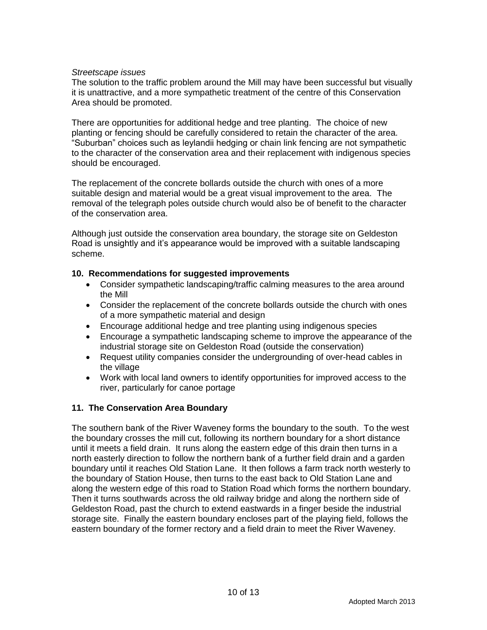#### *Streetscape issues*

The solution to the traffic problem around the Mill may have been successful but visually it is unattractive, and a more sympathetic treatment of the centre of this Conservation Area should be promoted.

There are opportunities for additional hedge and tree planting. The choice of new planting or fencing should be carefully considered to retain the character of the area. "Suburban" choices such as leylandii hedging or chain link fencing are not sympathetic to the character of the conservation area and their replacement with indigenous species should be encouraged.

The replacement of the concrete bollards outside the church with ones of a more suitable design and material would be a great visual improvement to the area. The removal of the telegraph poles outside church would also be of benefit to the character of the conservation area.

Although just outside the conservation area boundary, the storage site on Geldeston Road is unsightly and it's appearance would be improved with a suitable landscaping scheme.

## **10. Recommendations for suggested improvements**

- Consider sympathetic landscaping/traffic calming measures to the area around the Mill
- Consider the replacement of the concrete bollards outside the church with ones of a more sympathetic material and design
- Encourage additional hedge and tree planting using indigenous species
- Encourage a sympathetic landscaping scheme to improve the appearance of the industrial storage site on Geldeston Road (outside the conservation)
- Request utility companies consider the undergrounding of over-head cables in the village
- Work with local land owners to identify opportunities for improved access to the river, particularly for canoe portage

## **11. The Conservation Area Boundary**

The southern bank of the River Waveney forms the boundary to the south. To the west the boundary crosses the mill cut, following its northern boundary for a short distance until it meets a field drain. It runs along the eastern edge of this drain then turns in a north easterly direction to follow the northern bank of a further field drain and a garden boundary until it reaches Old Station Lane. It then follows a farm track north westerly to the boundary of Station House, then turns to the east back to Old Station Lane and along the western edge of this road to Station Road which forms the northern boundary. Then it turns southwards across the old railway bridge and along the northern side of Geldeston Road, past the church to extend eastwards in a finger beside the industrial storage site. Finally the eastern boundary encloses part of the playing field, follows the eastern boundary of the former rectory and a field drain to meet the River Waveney.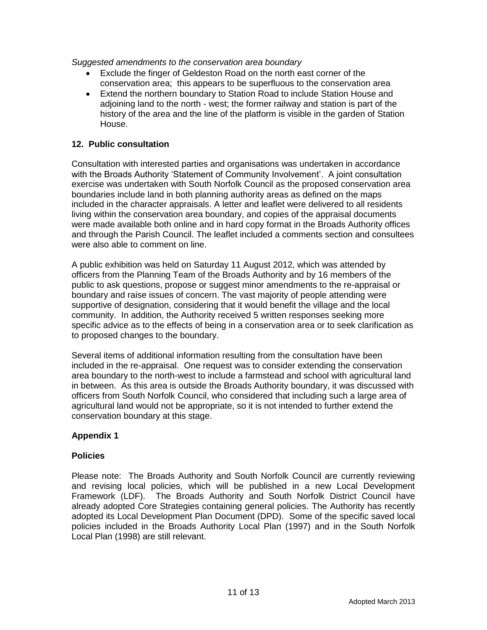*Suggested amendments to the conservation area boundary*

- Exclude the finger of Geldeston Road on the north east corner of the conservation area; this appears to be superfluous to the conservation area
- Extend the northern boundary to Station Road to include Station House and adjoining land to the north - west; the former railway and station is part of the history of the area and the line of the platform is visible in the garden of Station House.

## **12. Public consultation**

Consultation with interested parties and organisations was undertaken in accordance with the Broads Authority 'Statement of Community Involvement'. A joint consultation exercise was undertaken with South Norfolk Council as the proposed conservation area boundaries include land in both planning authority areas as defined on the maps included in the character appraisals. A letter and leaflet were delivered to all residents living within the conservation area boundary, and copies of the appraisal documents were made available both online and in hard copy format in the Broads Authority offices and through the Parish Council. The leaflet included a comments section and consultees were also able to comment on line.

A public exhibition was held on Saturday 11 August 2012, which was attended by officers from the Planning Team of the Broads Authority and by 16 members of the public to ask questions, propose or suggest minor amendments to the re-appraisal or boundary and raise issues of concern. The vast majority of people attending were supportive of designation, considering that it would benefit the village and the local community. In addition, the Authority received 5 written responses seeking more specific advice as to the effects of being in a conservation area or to seek clarification as to proposed changes to the boundary.

Several items of additional information resulting from the consultation have been included in the re-appraisal. One request was to consider extending the conservation area boundary to the north-west to include a farmstead and school with agricultural land in between. As this area is outside the Broads Authority boundary, it was discussed with officers from South Norfolk Council, who considered that including such a large area of agricultural land would not be appropriate, so it is not intended to further extend the conservation boundary at this stage.

## **Appendix 1**

#### **Policies**

Please note: The Broads Authority and South Norfolk Council are currently reviewing and revising local policies, which will be published in a new Local Development Framework (LDF). The Broads Authority and South Norfolk District Council have already adopted Core Strategies containing general policies. The Authority has recently adopted its Local Development Plan Document (DPD). Some of the specific saved local policies included in the Broads Authority Local Plan (1997) and in the South Norfolk Local Plan (1998) are still relevant.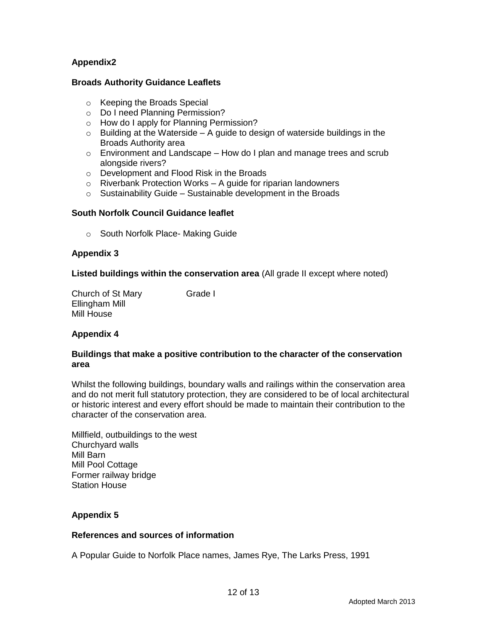# **Appendix2**

#### **Broads Authority Guidance Leaflets**

- o Keeping the Broads Special
- o Do I need Planning Permission?
- o How do I apply for Planning Permission?
- $\circ$  Building at the Waterside A guide to design of waterside buildings in the Broads Authority area
- o Environment and Landscape How do I plan and manage trees and scrub alongside rivers?
- o Development and Flood Risk in the Broads
- $\circ$  Riverbank Protection Works A guide for riparian landowners
- $\circ$  Sustainability Guide Sustainable development in the Broads

#### **South Norfolk Council Guidance leaflet**

o South Norfolk Place- Making Guide

#### **Appendix 3**

**Listed buildings within the conservation area** (All grade II except where noted)

Church of St Mary Grade I Ellingham Mill Mill House

## **Appendix 4**

#### **Buildings that make a positive contribution to the character of the conservation area**

Whilst the following buildings, boundary walls and railings within the conservation area and do not merit full statutory protection, they are considered to be of local architectural or historic interest and every effort should be made to maintain their contribution to the character of the conservation area.

Millfield, outbuildings to the west Churchyard walls Mill Barn Mill Pool Cottage Former railway bridge Station House

#### **Appendix 5**

#### **References and sources of information**

A Popular Guide to Norfolk Place names, James Rye, The Larks Press, 1991